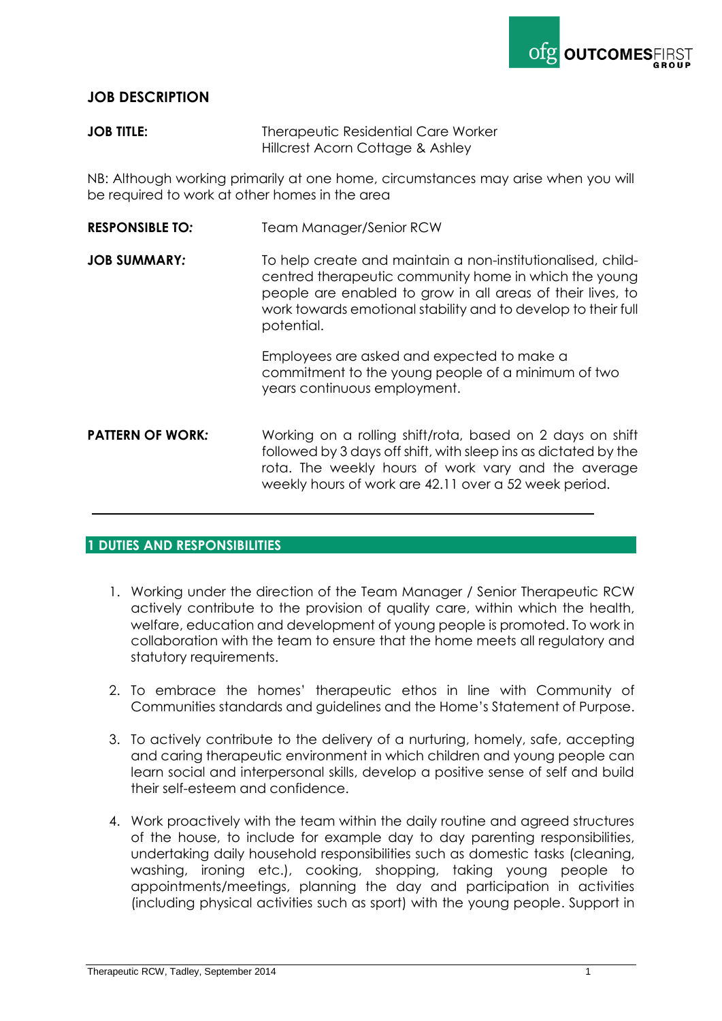

# **JOB DESCRIPTION**

### **JOB TITLE:** Therapeutic Residential Care Worker Hillcrest Acorn Cottage & Ashley

NB: Although working primarily at one home, circumstances may arise when you will be required to work at other homes in the area

- **RESPONSIBLE TO:** Team Manager/Senior RCW
- **JOB SUMMARY:** To help create and maintain a non-institutionalised, childcentred therapeutic community home in which the young people are enabled to grow in all areas of their lives, to work towards emotional stability and to develop to their full potential.

Employees are asked and expected to make a commitment to the young people of a minimum of two years continuous employment.

**PATTERN OF WORK:** Working on a rolling shift/rota, based on 2 days on shift followed by 3 days off shift, with sleep ins as dictated by the rota. The weekly hours of work vary and the average weekly hours of work are 42.11 over a 52 week period.

## **1 DUTIES AND RESPONSIBILITIES**

- 1. Working under the direction of the Team Manager / Senior Therapeutic RCW actively contribute to the provision of quality care, within which the health, welfare, education and development of young people is promoted. To work in collaboration with the team to ensure that the home meets all regulatory and statutory requirements.
- 2. To embrace the homes' therapeutic ethos in line with Community of Communities standards and guidelines and the Home's Statement of Purpose.
- 3. To actively contribute to the delivery of a nurturing, homely, safe, accepting and caring therapeutic environment in which children and young people can learn social and interpersonal skills, develop a positive sense of self and build their self-esteem and confidence.
- 4. Work proactively with the team within the daily routine and agreed structures of the house, to include for example day to day parenting responsibilities, undertaking daily household responsibilities such as domestic tasks (cleaning, washing, ironing etc.), cooking, shopping, taking young people to appointments/meetings, planning the day and participation in activities (including physical activities such as sport) with the young people. Support in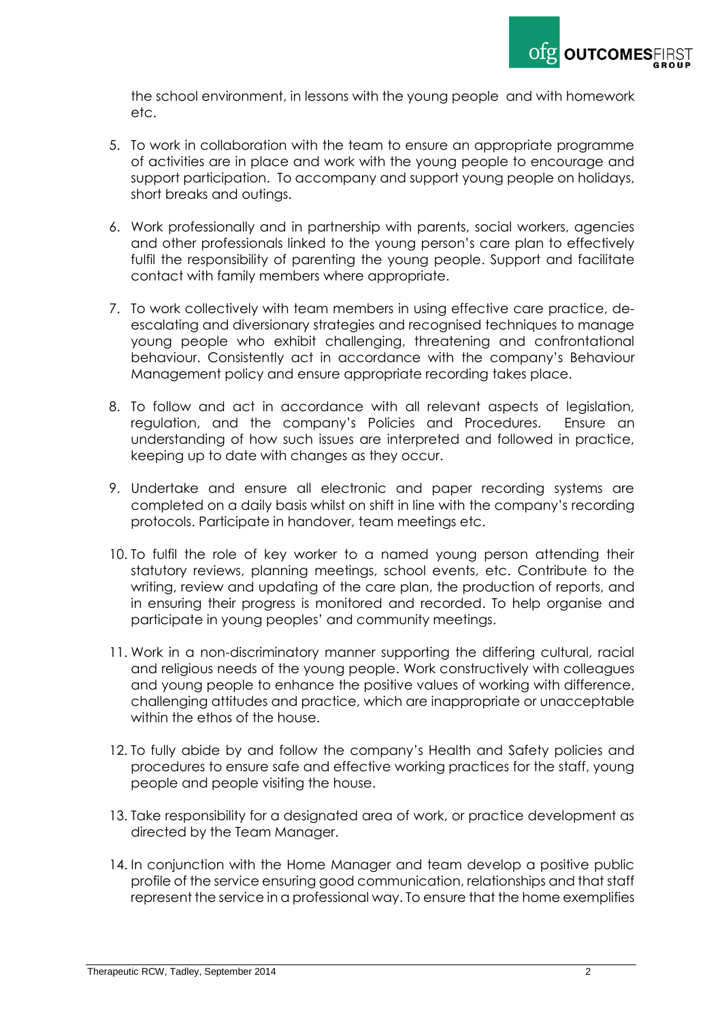

the school environment, in lessons with the young people and with homework etc.

- 5. To work in collaboration with the team to ensure an appropriate programme of activities are in place and work with the young people to encourage and support participation. To accompany and support young people on holidays, short breaks and outings.
- 6. Work professionally and in partnership with parents, social workers, agencies and other professionals linked to the young person's care plan to effectively fulfil the responsibility of parenting the young people. Support and facilitate contact with family members where appropriate.
- 7. To work collectively with team members in using effective care practice, deescalating and diversionary strategies and recognised techniques to manage young people who exhibit challenging, threatening and confrontational behaviour. Consistently act in accordance with the company's Behaviour Management policy and ensure appropriate recording takes place.
- 8. To follow and act in accordance with all relevant aspects of legislation, regulation, and the company's Policies and Procedures. Ensure an understanding of how such issues are interpreted and followed in practice, keeping up to date with changes as they occur.
- 9. Undertake and ensure all electronic and paper recording systems are completed on a daily basis whilst on shift in line with the company's recording protocols. Participate in handover, team meetings etc.
- 10. To fulfil the role of key worker to a named young person attending their statutory reviews, planning meetings, school events, etc. Contribute to the writing, review and updating of the care plan, the production of reports, and in ensuring their progress is monitored and recorded. To help organise and participate in young peoples' and community meetings.
- 11. Work in a non-discriminatory manner supporting the differing cultural, racial and religious needs of the young people. Work constructively with colleagues and young people to enhance the positive values of working with difference, challenging attitudes and practice, which are inappropriate or unacceptable within the ethos of the house.
- 12. To fully abide by and follow the company's Health and Safety policies and procedures to ensure safe and effective working practices for the staff, young people and people visiting the house.
- 13. Take responsibility for a designated area of work, or practice development as directed by the Team Manager.
- 14. In conjunction with the Home Manager and team develop a positive public profile of the service ensuring good communication, relationships and that staff represent the service in a professional way. To ensure that the home exemplifies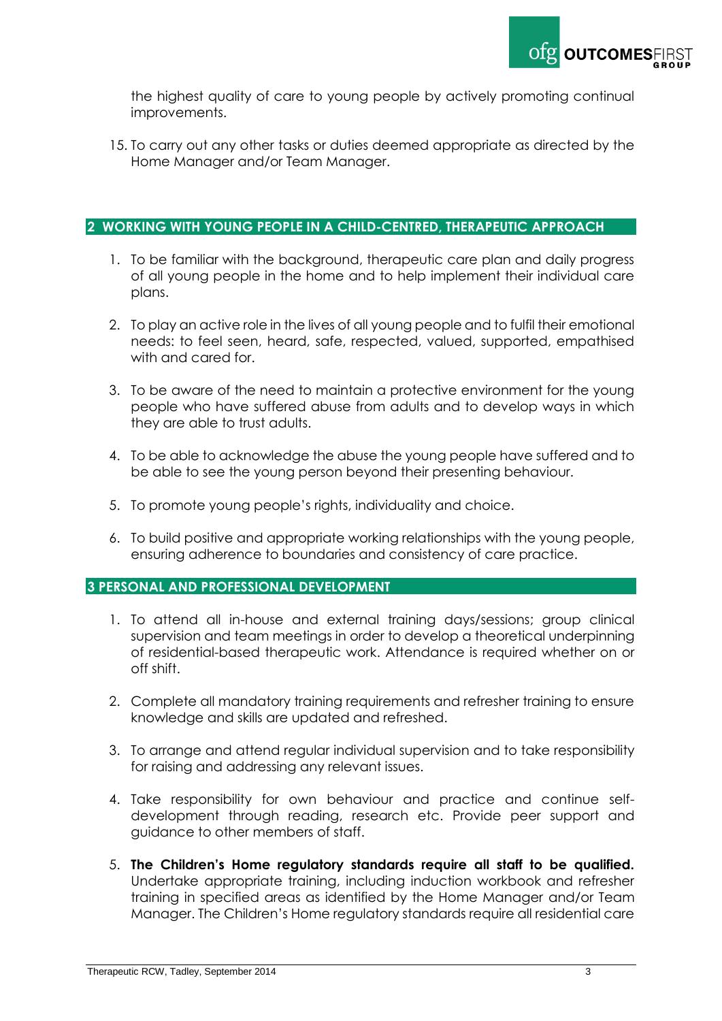

the highest quality of care to young people by actively promoting continual improvements.

15. To carry out any other tasks or duties deemed appropriate as directed by the Home Manager and/or Team Manager.

#### **2 WORKING WITH YOUNG PEOPLE IN A CHILD-CENTRED, THERAPEUTIC APPROACH**

- 1. To be familiar with the background, therapeutic care plan and daily progress of all young people in the home and to help implement their individual care plans.
- 2. To play an active role in the lives of all young people and to fulfil their emotional needs: to feel seen, heard, safe, respected, valued, supported, empathised with and cared for.
- 3. To be aware of the need to maintain a protective environment for the young people who have suffered abuse from adults and to develop ways in which they are able to trust adults.
- 4. To be able to acknowledge the abuse the young people have suffered and to be able to see the young person beyond their presenting behaviour.
- 5. To promote young people's rights, individuality and choice.
- 6. To build positive and appropriate working relationships with the young people, ensuring adherence to boundaries and consistency of care practice.

#### **3 PERSONAL AND PROFESSIONAL DEVELOPMENT**

- 1. To attend all in-house and external training days/sessions; group clinical supervision and team meetings in order to develop a theoretical underpinning of residential-based therapeutic work. Attendance is required whether on or off shift.
- 2. Complete all mandatory training requirements and refresher training to ensure knowledge and skills are updated and refreshed.
- 3. To arrange and attend regular individual supervision and to take responsibility for raising and addressing any relevant issues.
- 4. Take responsibility for own behaviour and practice and continue selfdevelopment through reading, research etc. Provide peer support and guidance to other members of staff.
- 5. **The Children's Home regulatory standards require all staff to be qualified.**  Undertake appropriate training, including induction workbook and refresher training in specified areas as identified by the Home Manager and/or Team Manager. The Children's Home regulatory standards require all residential care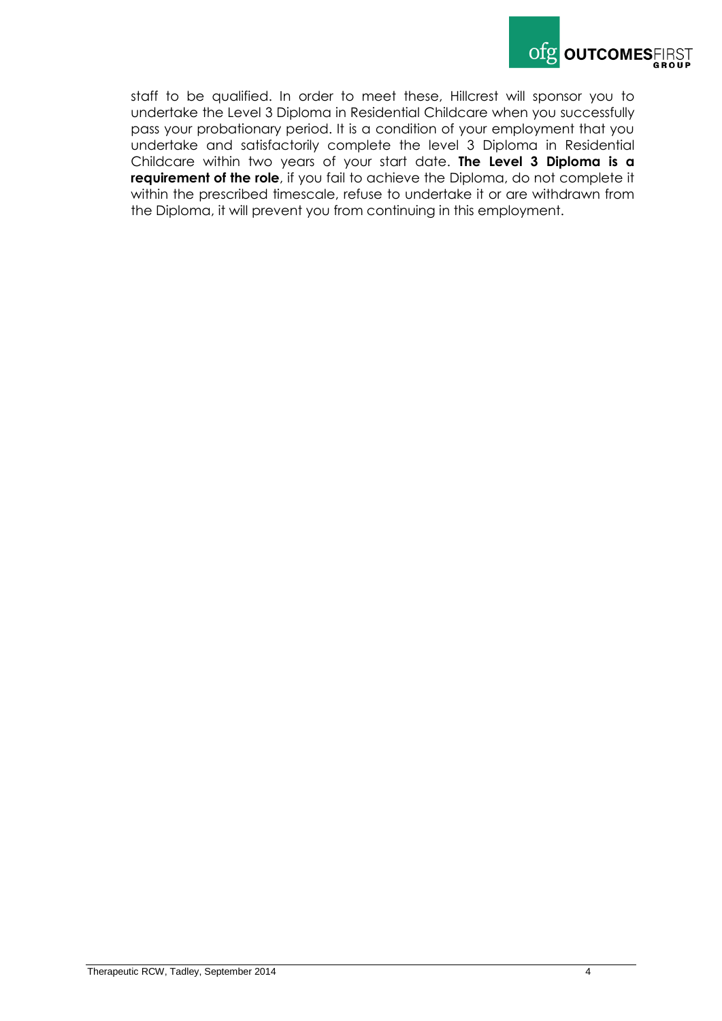

staff to be qualified. In order to meet these, Hillcrest will sponsor you to undertake the Level 3 Diploma in Residential Childcare when you successfully pass your probationary period. It is a condition of your employment that you undertake and satisfactorily complete the level 3 Diploma in Residential Childcare within two years of your start date. **The Level 3 Diploma is a requirement of the role**, if you fail to achieve the Diploma, do not complete it within the prescribed timescale, refuse to undertake it or are withdrawn from the Diploma, it will prevent you from continuing in this employment.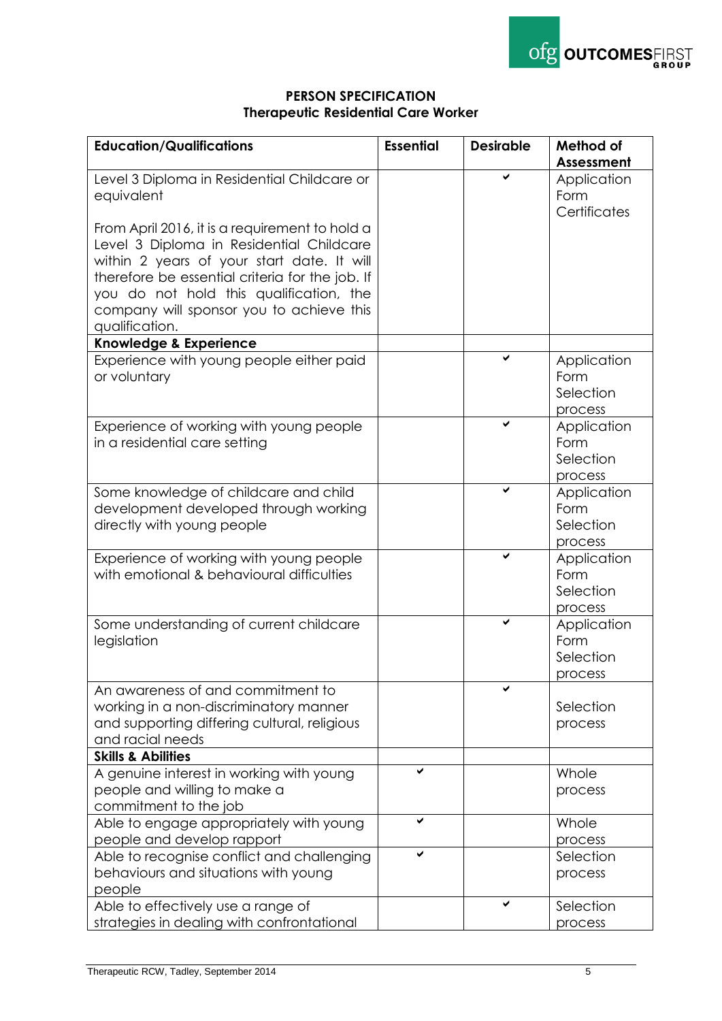

## **PERSON SPECIFICATION Therapeutic Residential Care Worker**

| <b>Education/Qualifications</b>                 | <b>Essential</b> | <b>Desirable</b> | Method of         |
|-------------------------------------------------|------------------|------------------|-------------------|
|                                                 |                  |                  | <b>Assessment</b> |
|                                                 |                  |                  |                   |
| Level 3 Diploma in Residential Childcare or     |                  |                  | Application       |
| equivalent                                      |                  |                  | Form              |
|                                                 |                  |                  | Certificates      |
| From April 2016, it is a requirement to hold a  |                  |                  |                   |
| Level 3 Diploma in Residential Childcare        |                  |                  |                   |
| within 2 years of your start date. It will      |                  |                  |                   |
| therefore be essential criteria for the job. If |                  |                  |                   |
| you do not hold this qualification, the         |                  |                  |                   |
| company will sponsor you to achieve this        |                  |                  |                   |
| qualification.                                  |                  |                  |                   |
| Knowledge & Experience                          |                  |                  |                   |
| Experience with young people either paid        |                  |                  | Application       |
| or voluntary                                    |                  |                  | Form              |
|                                                 |                  |                  | Selection         |
|                                                 |                  |                  | process           |
| Experience of working with young people         |                  |                  | Application       |
| in a residential care setting                   |                  |                  | Form              |
|                                                 |                  |                  | Selection         |
|                                                 |                  |                  | process           |
| Some knowledge of childcare and child           |                  |                  | Application       |
| development developed through working           |                  |                  | Form              |
| directly with young people                      |                  |                  | Selection         |
|                                                 |                  |                  | process           |
| Experience of working with young people         |                  | ✔                | Application       |
| with emotional & behavioural difficulties       |                  |                  | Form              |
|                                                 |                  |                  | Selection         |
|                                                 |                  |                  |                   |
|                                                 |                  | ✔                | process           |
| Some understanding of current childcare         |                  |                  | Application       |
| legislation                                     |                  |                  | Form              |
|                                                 |                  |                  | Selection         |
|                                                 |                  |                  | process           |
| An awareness of and commitment to               |                  |                  |                   |
| working in a non-discriminatory manner          |                  |                  | Selection         |
| and supporting differing cultural, religious    |                  |                  | process           |
| and racial needs                                |                  |                  |                   |
| <b>Skills &amp; Abilities</b>                   |                  |                  |                   |
| A genuine interest in working with young        | ✓                |                  | Whole             |
| people and willing to make a                    |                  |                  | process           |
| commitment to the job                           |                  |                  |                   |
| Able to engage appropriately with young         | ✔                |                  | Whole             |
| people and develop rapport                      |                  |                  | process           |
| Able to recognise conflict and challenging      | ✔                |                  | Selection         |
| behaviours and situations with young            |                  |                  | process           |
| people                                          |                  |                  |                   |
| Able to effectively use a range of              |                  |                  | Selection         |
| strategies in dealing with confrontational      |                  |                  | process           |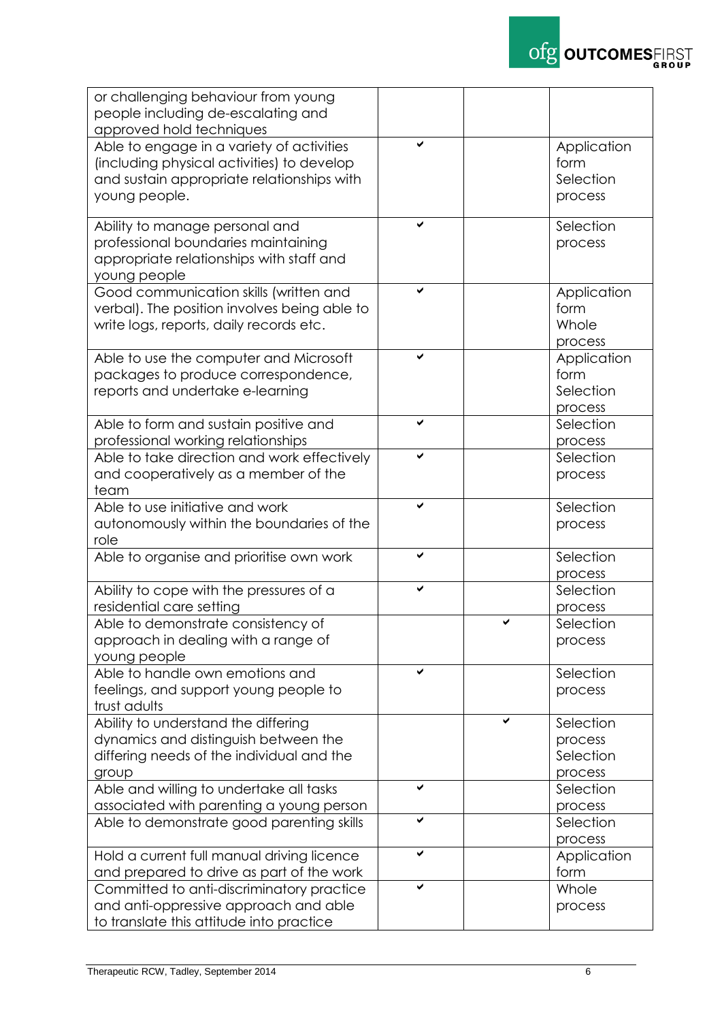

| or challenging behaviour from young              |   |   |             |
|--------------------------------------------------|---|---|-------------|
| people including de-escalating and               |   |   |             |
| approved hold techniques                         |   |   |             |
| Able to engage in a variety of activities        |   |   | Application |
|                                                  |   |   |             |
| (including physical activities) to develop       |   |   | form        |
| and sustain appropriate relationships with       |   |   | Selection   |
| young people.                                    |   |   | process     |
|                                                  |   |   |             |
| Ability to manage personal and                   |   |   | Selection   |
| professional boundaries maintaining              |   |   | process     |
| appropriate relationships with staff and         |   |   |             |
|                                                  |   |   |             |
| young people                                     |   |   |             |
| Good communication skills (written and           | ✔ |   | Application |
| verbal). The position involves being able to     |   |   | form        |
| write logs, reports, daily records etc.          |   |   | Whole       |
|                                                  |   |   | process     |
| Able to use the computer and Microsoft           |   |   | Application |
| packages to produce correspondence,              |   |   | form        |
|                                                  |   |   |             |
| reports and undertake e-learning                 |   |   | Selection   |
|                                                  |   |   | process     |
| Able to form and sustain positive and            |   |   | Selection   |
| professional working relationships               |   |   | process     |
| Able to take direction and work effectively      |   |   | Selection   |
| and cooperatively as a member of the             |   |   | process     |
| team                                             |   |   |             |
| Able to use initiative and work                  |   |   | Selection   |
|                                                  |   |   |             |
| autonomously within the boundaries of the        |   |   | process     |
| role                                             |   |   |             |
| Able to organise and prioritise own work         |   |   | Selection   |
|                                                  |   |   | process     |
| Ability to cope with the pressures of a          | ✔ |   | Selection   |
| residential care setting                         |   |   | process     |
| Able to demonstrate consistency of               |   | ✔ | Selection   |
| approach in dealing with a range of              |   |   | process     |
|                                                  |   |   |             |
| young people                                     |   |   |             |
| Able to handle own emotions and                  |   |   | Selection   |
| feelings, and support young people to            |   |   | process     |
| trust adults                                     |   |   |             |
| Ability to understand the differing              |   | ✓ | Selection   |
| dynamics and distinguish between the             |   |   | process     |
| differing needs of the individual and the        |   |   | Selection   |
|                                                  |   |   | process     |
| group<br>Able and willing to undertake all tasks |   |   | Selection   |
|                                                  |   |   |             |
| associated with parenting a young person         |   |   | process     |
| Able to demonstrate good parenting skills        | ✔ |   | Selection   |
|                                                  |   |   | process     |
| Hold a current full manual driving licence       | ✓ |   | Application |
| and prepared to drive as part of the work        |   |   | form        |
| Committed to anti-discriminatory practice        |   |   | Whole       |
| and anti-oppressive approach and able            |   |   | process     |
| to translate this attitude into practice         |   |   |             |
|                                                  |   |   |             |